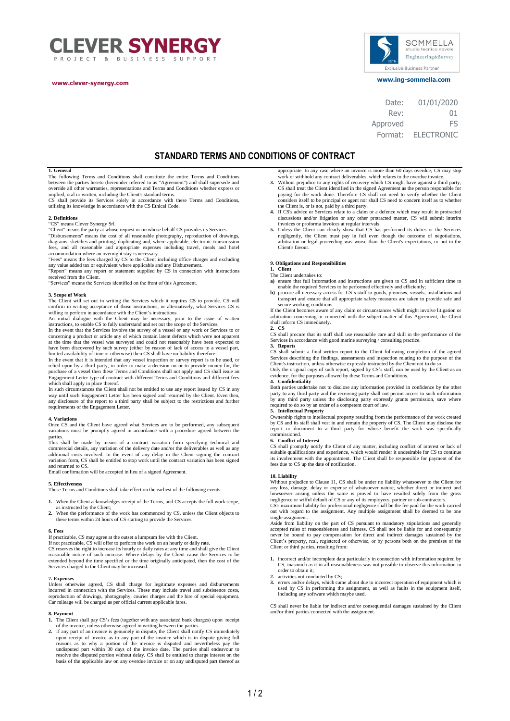



 **www.ing-sommella.com www.clever-synergy.com**

| 01/01/2020        |
|-------------------|
| 01                |
| FS                |
| <b>ELECTRONIC</b> |
|                   |

# **STANDARD TERMS AND CONDITIONS OF CONTRACT**

# **1. General**

The following Terms and Conditions shall constitute the entire Terms and Conditions between the parties hereto (hereunder referred to as "Agreement") and shall supersede and override all other warranties, representations and Terms and Conditions whether express or implied, oral or written, including the Client's standard terms.

CS shall provide its Services solely in accordance with these Terms and Conditions, utilising its knowledge in accordance with the CS Ethical Code.

**2. Definitions** "CS" means Clever Synergy Srl.

"Client" means the party at whose request or on whose behalf CS provides its Services.<br>"Disbursements" means the cost of all reasonable photography, reproduction of drawings,<br>diagrams, sketches and printing, duplicating an

accommodation where an overnight stay is necessary. "Fees" means the fees charged by CS to the Client including office charges and excluding

any value added tax or equivalent where applicable and any Disbursement. "Report" means any report or statement supplied by CS in connection with instructions received from the Client.

"Services" means the Services identified on the front of this Agreement.

# **3. Scope of Work**

The Client will set out in writing the Services which it requires CS to provide. CS will confirm in writing acceptance of those instructions, or alternatively, what Services CS is willing to perform in accordance with the Client's instructions.

An initial dialogue with the Client may be necessary, prior to the issue of written instructions, to enable CS to fully understand and set out the scope of the Services.

In the event that the Services involve the survey of a vessel or any work or Services to or concerning a product or article any of which contain latent defects which were not apparent at the time that the vessel was surveyed and could not reasonably have been expected to<br>have been discovered by such survey (either by reason of lack of access to a vessel part,<br>limited availability of time or otherwise) t

In the event that it is intended that any vessel inspection or survey report is to be used, or relied upon by a third party, in order to make a decision on or to provide money for, the purchase of a vessel then these Terms and Conditions shall not apply and CS shall issue an Engagement Letter type of contract with different Terms and Conditions and different fees

which shall apply in place thereof. In such circumstances the Client shall not be entitled to use any report issued by CS in any way until such Engagement Letter has been signed and returned by the Client. Even then, any disclosure of the report to a third party shall be subject to the restrictions and further requirements of the Engagement Letter.

## **4. Variations**

Once CS and the Client have agreed what Services are to be performed, any subsequent variations must be promptly agreed in accordance with a procedure agreed between the

parties. This shall be made by means of a contract variation form specifying technical and commercial details, any variation of the delivery date and/or the deliverables as well as any additional costs involved. In the event of any delay in the Client signing the contract variation form, CS shall be entitled to stop work until the contract variation has been signed  $\overline{a}$  d returned to CS.

Email confirmation will be accepted in lieu of a signed Agreement.

# **5. Effectiveness**

These Terms and Conditions shall take effect on the earliest of the following events:

- **1.** When the Client acknowledges receipt of the Terms, and CS accepts the full work scope, as instructed by the Client;
- **2.** When the performance of the work has commenced by CS, unless the Client objects to these terms within 24 hours of CS starting to provide the Services.

**6. Fees** If practicable, CS may agree at the outset a lumpsum fee with the Client.

If not practicable, CS will offer to perform the work on an hourly or daily rate. CS reserves the right to increase its hourly or daily rates at any time and shall give the Client<br>reasonable notice of such increase. Where delays by the Client cause the Services to be<br>extended beyond the time specified o Services charged to the Client may be increased.

# **7. Expenses**

Unless otherwise agreed, CS shall charge for legitimate expenses and disbursements incurred in connection with the Services. These may include travel and subsistence costs, reproduction of drawings, photography, courier charges and the hire of special equipment. Car mileage will be charged as per official current applicable fares.

## **8. Payment**

- **1.** The Client shall pay CS's fees (together with any associated bank charges) upon receipt of the invoice, unless otherwise agreed in writing between the parties.
- **2.** If any part of an invoice is genuinely in dispute, the Client shall notify CS immediately upon receipt of invoice as to any part of the invoice which is in dispute giving full<br>reasons as to why a portion of the invoice is disputed and nevertheless pay the<br>undisputed part within 30 days of the invoice date. The resolve the disputed portion without delay. CS shall be entitled to charge interest on the basis of the applicable law on any overdue invoice or on any undisputed part thereof as
- appropriate. In any case where an invoice is more than 60 days overdue, CS may stop work or withhold any contract deliverables which relates to the overdue invoice. **3.** Without prejudice to any rights of recovery which CS might have against a third party, CS shall treat the Client identified in the signed Agreement as the person responsible for paying for the work done. Therefore CS shall not need to verify whether the Client considers itself to be principal or agent nor shall CS need to concern itself as to whether
- the Client is, or is not, paid by a third party. **4.** If CS's advice or Services relate to a claim or a defence which may result in protracted discussions and/or litigation or any other protracted matter, CS will submit interim invoices or proforma invoices at regular intervals.
- 5. Unless the Client can clearly show that CS has performed its duties or the Services negligently, the Client must pay in full even though the outcome of negotiations, arbitration or legal proceeding was worse than the Cl Client's favour.

## **9. Obligations and Responsibilities**

- **1. Client** The Client undertakes to:
- **a**) ensure that full information and instructions are given to CS and in sufficient time to
- enable the required Services to be performed effectively and efficiently;<br> **b**) procure all necessary access for CS's staff to goods, premises, vessels, installations and<br>
transport and ensure that all appropriate safety m secure working conditions.

If the Client becomes aware of any claim or circumstances which might involve litigation or arbitration concerning or connected with the subject matter of this Agreement, the Client shall inform CS immediately.

# **2. CS**

CS shall procure that its staff shall use reasonable care and skill in the performance of the Services in accordance with good marine surveying / consulting practice **3. Reports**

CS shall submit a final written report to the Client following completion of the agreed Services describing the findings, assessments and inspection relating to the purpose of the Client's instruction, unless otherwise expressly instructed by the Client not to do so.

Only the original copy of such report, signed by CS's staff, can be used by the Client as an evidence, for the purposes allowed by these Terms and Conditions.

**4. Confidentiality** Both parties undertake not to disclose any information provided in confidence by the other party to any third party and the receiving party shall not permit access to such information by any third party unless the disclosing party expressly grants permission, save where quired to do so by an order of a competent court of law. **5. Intellectual Property**<br> **5. Intellectual Property** 

Ownership rights to intellectual property resulting from the performance of the work created by CS and its staff shall vest in and remain the property of CS. The Client may disclose the report or document to a third party for whose benefit the work was specifically commissioned.

### **6. Conflict of Interest**

CS shall promptly notify the Client of any matter, including conflict of interest or lack of suitable qualifications and experience, which would render it undesirable for CS to continue its involvement with the appointment. The Client shall be responsible for payment of the fees due to CS up the date of notification.

## **10. Liability**

Without prejudice to Clause 11, CS shall be under no liability whatsoever to the Client for any loss, damage, delay or expense of whatsoever nature, whether direct or indirect and howsoever arising unless the same is proved to have resulted solely from the gross negligence or wilful default of CS or any of its em

out with regard to the assignment. Any multiple assignment shall be deemed to be one single assignment.

Aside from liability on the part of CS pursuant to mandatory stipulations and generally accepted rules of reasonableness and fairness, CS shall not be liable for and consequently never be bound to pay compensation for direct and indirect damages sustained by the Client's property, real, registered or otherwise, or by persons both on the premises of the Client or third parties, resulting from:

- **1.** incorrect and/or incomplete data particularly in connection with information required by CS, inasmuch as it in all reasonableness was not possible to observe this information in order to obtain it;
- activities not conducted by CS;
- **3.** errors and/or delays, which came about due to incorrect operation of equipment which is used by CS in performing the assignment, as well as faults in the equipment itself, including any software which maybe used.

CS shall never be liable for indirect and/or consequential damages sustained by the Client and/or third parties connected with the assignment.